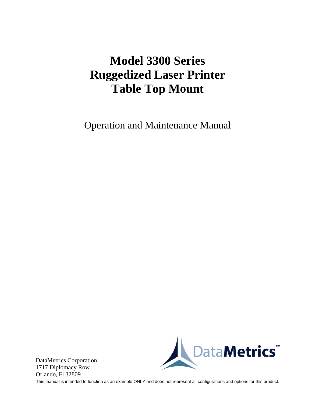# **Model 3300 Series Ruggedized Laser Printer Table Top Mount**

Operation and Maintenance Manual



DataMetrics Corporation 1717 Diplomacy Row Orlando, Fl 32809

This manual is intended to function as an example ONLY and does not represent all configurations and options for this product.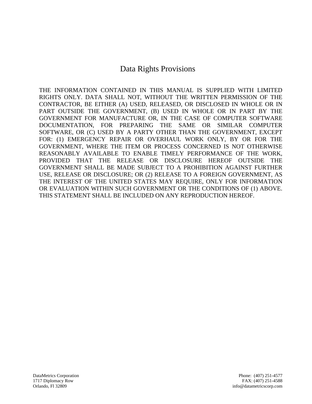# Data Rights Provisions

THE INFORMATION CONTAINED IN THIS MANUAL IS SUPPLIED WITH LIMITED RIGHTS ONLY. DATA SHALL NOT, WITHOUT THE WRITTEN PERMISSION OF THE CONTRACTOR, BE EITHER (A) USED, RELEASED, OR DISCLOSED IN WHOLE OR IN PART OUTSIDE THE GOVERNMENT, (B) USED IN WHOLE OR IN PART BY THE GOVERNMENT FOR MANUFACTURE OR, IN THE CASE OF COMPUTER SOFTWARE DOCUMENTATION, FOR PREPARING THE SAME OR SIMILAR COMPUTER SOFTWARE, OR (C) USED BY A PARTY OTHER THAN THE GOVERNMENT, EXCEPT FOR: (1) EMERGENCY REPAIR OR OVERHAUL WORK ONLY, BY OR FOR THE GOVERNMENT, WHERE THE ITEM OR PROCESS CONCERNED IS NOT OTHERWISE REASONABLY AVAILABLE TO ENABLE TIMELY PERFORMANCE OF THE WORK, PROVIDED THAT THE RELEASE OR DISCLOSURE HEREOF OUTSIDE THE GOVERNMENT SHALL BE MADE SUBJECT TO A PROHIBITION AGAINST FURTHER USE, RELEASE OR DISCLOSURE; OR (2) RELEASE TO A FOREIGN GOVERNMENT, AS THE INTEREST OF THE UNITED STATES MAY REQUIRE, ONLY FOR INFORMATION OR EVALUATION WITHIN SUCH GOVERNMENT OR THE CONDITIONS OF (1) ABOVE. THIS STATEMENT SHALL BE INCLUDED ON ANY REPRODUCTION HEREOF.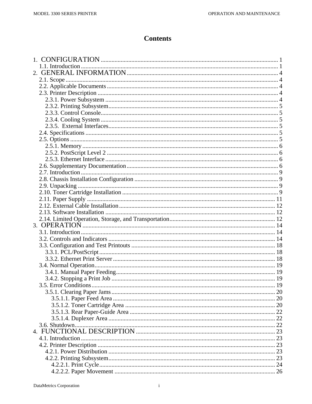### **Contents**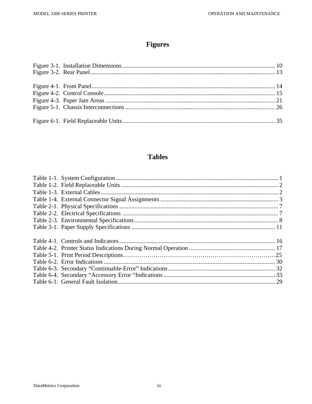# **Figures**

# **Tables**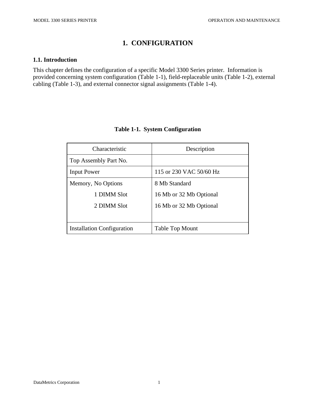# **1. CONFIGURATION**

#### **1.1. Introduction**

This chapter defines the configuration of a specific Model 3300 Series printer. Information is provided concerning system configuration (Table 1-1), field-replaceable units (Table 1-2), external cabling (Table 1-3), and external connector signal assignments (Table 1-4).

| Characteristic                    | Description             |
|-----------------------------------|-------------------------|
| Top Assembly Part No.             |                         |
| <b>Input Power</b>                | 115 or 230 VAC 50/60 Hz |
| Memory, No Options                | 8 Mb Standard           |
| 1 DIMM Slot                       | 16 Mb or 32 Mb Optional |
| 2 DIMM Slot                       | 16 Mb or 32 Mb Optional |
|                                   |                         |
| <b>Installation Configuration</b> | <b>Table Top Mount</b>  |

#### **Table 1-1. System Configuration**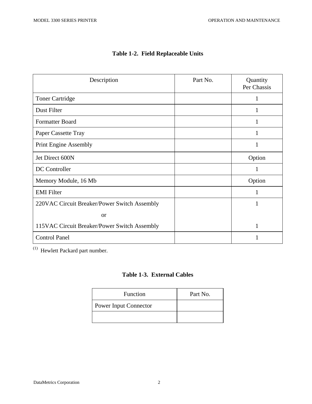| Description                                  | Part No. | Quantity<br>Per Chassis |
|----------------------------------------------|----------|-------------------------|
| <b>Toner Cartridge</b>                       |          | 1                       |
| Dust Filter                                  |          |                         |
| <b>Formatter Board</b>                       |          |                         |
| Paper Cassette Tray                          |          |                         |
| <b>Print Engine Assembly</b>                 |          |                         |
| Jet Direct 600N                              |          | Option                  |
| DC Controller                                |          | 1                       |
| Memory Module, 16 Mb                         |          | Option                  |
| <b>EMI</b> Filter                            |          | 1                       |
| 220VAC Circuit Breaker/Power Switch Assembly |          | 1                       |
| or                                           |          |                         |
| 115VAC Circuit Breaker/Power Switch Assembly |          | 1                       |
| <b>Control Panel</b>                         |          |                         |

### **Table 1-2. Field Replaceable Units**

(1) Hewlett Packard part number.

#### **Table 1-3. External Cables**

| Function                     | Part No. |
|------------------------------|----------|
| <b>Power Input Connector</b> |          |
|                              |          |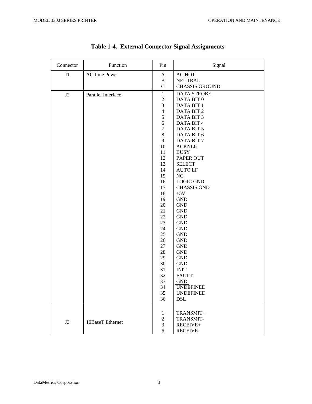h

 $\overline{\mathbf{r}}$ 

 $\Gamma$ 

| Connector | Function             | Pin              | Signal                |
|-----------|----------------------|------------------|-----------------------|
| J1        | <b>AC Line Power</b> | $\mathbf{A}$     | AC HOT                |
|           |                      | $\bf{B}$         | <b>NEUTRAL</b>        |
|           |                      | $\mathbf C$      | <b>CHASSIS GROUND</b> |
| J2        | Parallel Interface   | $\mathbf{1}$     | <b>DATA STROBE</b>    |
|           |                      | $\boldsymbol{2}$ | DATA BIT 0            |
|           |                      | 3                | DATA BIT 1            |
|           |                      | $\overline{4}$   | DATA BIT 2            |
|           |                      | $\mathfrak s$    | DATA BIT 3            |
|           |                      | $\sqrt{6}$       | DATA BIT 4            |
|           |                      | $\tau$           | DATA BIT 5            |
|           |                      | $8\,$            | DATA BIT 6            |
|           |                      | 9                | DATA BIT 7            |
|           |                      | 10               | <b>ACKNLG</b>         |
|           |                      | 11               | <b>BUSY</b>           |
|           |                      | 12               | PAPER OUT             |
|           |                      | 13               | <b>SELECT</b>         |
|           |                      | 14               | <b>AUTO LF</b>        |
|           |                      | 15               | $\rm NC$              |
|           |                      | 16               | <b>LOGIC GND</b>      |
|           |                      | 17               | <b>CHASSIS GND</b>    |
|           |                      | 18               | $+5V$                 |
|           |                      | 19               | <b>GND</b>            |
|           |                      | 20               | <b>GND</b>            |
|           |                      | 21               | <b>GND</b>            |
|           |                      | 22               | <b>GND</b>            |
|           |                      | 23               | <b>GND</b>            |
|           |                      | 24               | <b>GND</b>            |
|           |                      | 25               | <b>GND</b>            |
|           |                      | 26               | <b>GND</b>            |
|           |                      | 27               | <b>GND</b>            |
|           |                      | 28               | <b>GND</b>            |
|           |                      | 29               | <b>GND</b>            |
|           |                      | 30               | <b>GND</b>            |
|           |                      | 31               | <b>INIT</b>           |
|           |                      | 32               | <b>FAULT</b>          |
|           |                      | 33               | <b>GND</b>            |
|           |                      | 34               | <b>UNDEFINED</b>      |
|           |                      | 35               | <b>UNDEFINED</b>      |
|           |                      | 36               | <b>DSL</b>            |
|           |                      |                  |                       |
|           |                      | $\mathbf{1}$     | TRANSMIT+             |
|           |                      | $\boldsymbol{2}$ | TRANSMIT-             |
| J3        | 10BaseT Ethernet     | $\mathfrak{Z}$   | RECEIVE+              |
|           |                      | 6                | RECEIVE-              |

|  |  | <b>Table 1-4. External Connector Signal Assignments</b> |
|--|--|---------------------------------------------------------|
|  |  |                                                         |

 $\overline{\phantom{0}}$ 

 $\overline{\phantom{a}}$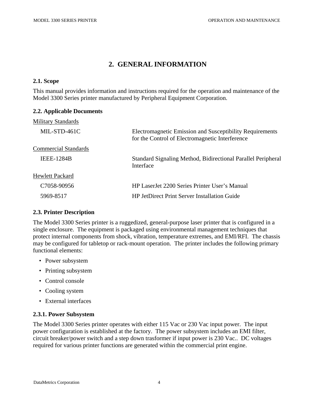**2.2. Applicable Documents** 

# **2. GENERAL INFORMATION**

#### **2.1. Scope**

This manual provides information and instructions required for the operation and maintenance of the Model 3300 Series printer manufactured by Peripheral Equipment Corporation.

| <b>Military Standards</b>   |                                                                                                                    |
|-----------------------------|--------------------------------------------------------------------------------------------------------------------|
| MIL-STD-461C                | <b>Electromagnetic Emission and Susceptibility Requirements</b><br>for the Control of Electromagnetic Interference |
| <b>Commercial Standards</b> |                                                                                                                    |
| <b>IEEE-1284B</b>           | Standard Signaling Method, Bidirectional Parallel Peripheral<br>Interface                                          |
| <b>Hewlett Packard</b>      |                                                                                                                    |
| C <sub>7058-90956</sub>     | HP LaserJet 2200 Series Printer User's Manual                                                                      |
| 5969-8517                   | <b>HP JetDirect Print Server Installation Guide</b>                                                                |

#### **2.3. Printer Description**

The Model 3300 Series printer is a ruggedized, general-purpose laser printer that is configured in a single enclosure. The equipment is packaged using environmental management techniques that protect internal components from shock, vibration, temperature extremes, and EMI/RFI. The chassis may be configured for tabletop or rack-mount operation. The printer includes the following primary functional elements:

- Power subsystem
- Printing subsystem
- Control console
- Cooling system
- External interfaces

#### **2.3.1. Power Subsystem**

The Model 3300 Series printer operates with either 115 Vac or 230 Vac input power. The input power configuration is established at the factory. The power subsystem includes an EMI filter, circuit breaker/power switch and a step down trasformer if input power is 230 Vac.. DC voltages required for various printer functions are generated within the commercial print engine.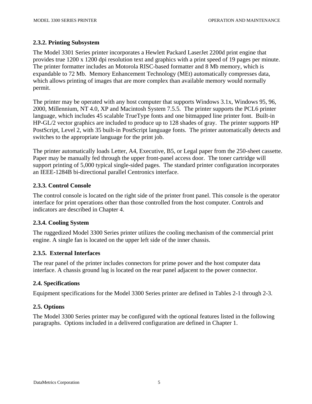#### **2.3.2. Printing Subsystem**

The Model 3301 Series printer incorporates a Hewlett Packard LaserJet 2200d print engine that provides true 1200 x 1200 dpi resolution text and graphics with a print speed of 19 pages per minute. The printer formatter includes an Motorola RISC-based formatter and 8 Mb memory, which is expandable to 72 Mb. Memory Enhancement Technology (MEt) automatically compresses data, which allows printing of images that are more complex than available memory would normally permit.

The printer may be operated with any host computer that supports Windows 3.1x, Windows 95, 96, 2000, Millennium, NT 4.0, XP and Macintosh System 7.5.5. The printer supports the PCL6 printer language, which includes 45 scalable TrueType fonts and one bitmapped line printer font. Built-in HP-GL/2 vector graphics are included to produce up to 128 shades of gray. The printer supports HP PostScript, Level 2, with 35 built-in PostScript language fonts. The printer automatically detects and switches to the appropriate language for the print job.

The printer automatically loads Letter, A4, Executive, B5, or Legal paper from the 250-sheet cassette. Paper may be manually fed through the upper front-panel access door. The toner cartridge will support printing of 5,000 typical single-sided pages. The standard printer configuration incorporates an IEEE-1284B bi-directional parallel Centronics interface.

#### **2.3.3. Control Console**

The control console is located on the right side of the printer front panel. This console is the operator interface for print operations other than those controlled from the host computer. Controls and indicators are described in Chapter 4.

#### **2.3.4. Cooling System**

The ruggedized Model 3300 Series printer utilizes the cooling mechanism of the commercial print engine. A single fan is located on the upper left side of the inner chassis.

#### **2.3.5. External Interfaces**

The rear panel of the printer includes connectors for prime power and the host computer data interface. A chassis ground lug is located on the rear panel adjacent to the power connector.

#### **2.4. Specifications**

Equipment specifications for the Model 3300 Series printer are defined in Tables 2-1 through 2-3.

#### **2.5. Options**

The Model 3300 Series printer may be configured with the optional features listed in the following paragraphs. Options included in a delivered configuration are defined in Chapter 1.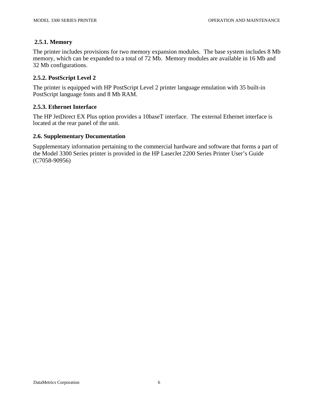#### **2.5.1. Memory**

The printer includes provisions for two memory expansion modules. The base system includes 8 Mb memory, which can be expanded to a total of 72 Mb. Memory modules are available in 16 Mb and 32 Mb configurations.

#### **2.5.2. PostScript Level 2**

The printer is equipped with HP PostScript Level 2 printer language emulation with 35 built-in PostScript language fonts and 8 Mb RAM.

#### **2.5.3. Ethernet Interface**

The HP JetDirect EX Plus option provides a 10baseT interface. The external Ethernet interface is located at the rear panel of the unit.

#### **2.6. Supplementary Documentation**

Supplementary information pertaining to the commercial hardware and software that forms a part of the Model 3300 Series printer is provided in the HP LaserJet 2200 Series Printer User's Guide (C7058-90956)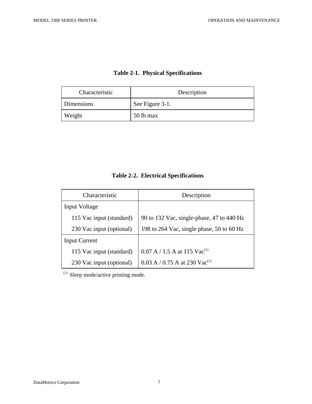|  |  | <b>Table 2-1. Physical Specifications</b> |
|--|--|-------------------------------------------|
|--|--|-------------------------------------------|

| Characteristic | Description     |
|----------------|-----------------|
| Dimensions     | See Figure 3-1. |
| Weight         | 50 lb max       |

| Characteristic           | Description                                |
|--------------------------|--------------------------------------------|
| <b>Input Voltage</b>     |                                            |
| 115 Vac input (standard) | 90 to 132 Vac, single-phase, 47 to 440 Hz  |
| 230 Vac input (optional) | 198 to 264 Vac, single phase, 50 to 60 Hz  |
| <b>Input Current</b>     |                                            |
| 115 Vac input (standard) | $0.07$ A / 1.5 A at 115 Vac <sup>(1)</sup> |
| 230 Vac input (optional) | 0.03 A / 0.75 A at 230 Vac <sup>(1)</sup>  |

# **Table 2-2. Electrical Specifications**

<sup>(1)</sup> Sleep mode/active printing mode.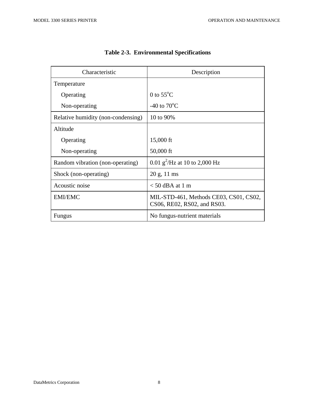| Characteristic                     | Description                                                           |
|------------------------------------|-----------------------------------------------------------------------|
| Temperature                        |                                                                       |
| Operating                          | 0 to $55^{\circ}$ C                                                   |
| Non-operating                      | -40 to $70^{\circ}$ C                                                 |
| Relative humidity (non-condensing) | 10 to 90%                                                             |
| Altitude                           |                                                                       |
| Operating                          | 15,000 ft                                                             |
| Non-operating                      | 50,000 ft                                                             |
| Random vibration (non-operating)   | 0.01 $g^2$ /Hz at 10 to 2,000 Hz                                      |
| Shock (non-operating)              | 20 g, 11 ms                                                           |
| Acoustic noise                     | $<$ 50 dBA at 1 m                                                     |
| <b>EMI/EMC</b>                     | MIL-STD-461, Methods CE03, CS01, CS02,<br>CS06, RE02, RS02, and RS03. |
| Fungus                             | No fungus-nutrient materials                                          |

**Table 2-3. Environmental Specifications**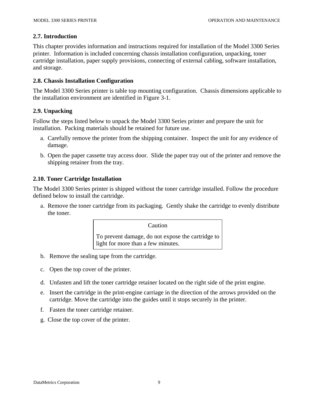#### **2.7. Introduction**

This chapter provides information and instructions required for installation of the Model 3300 Series printer. Information is included concerning chassis installation configuration, unpacking, toner cartridge installation, paper supply provisions, connecting of external cabling, software installation, and storage.

#### **2.8. Chassis Installation Configuration**

The Model 3300 Series printer is table top mounting configuration. Chassis dimensions applicable to the installation environment are identified in Figure 3-1.

#### **2.9. Unpacking**

Follow the steps listed below to unpack the Model 3300 Series printer and prepare the unit for installation. Packing materials should be retained for future use.

- a. Carefully remove the printer from the shipping container. Inspect the unit for any evidence of damage.
- b. Open the paper cassette tray access door. Slide the paper tray out of the printer and remove the shipping retainer from the tray.

#### **2.10. Toner Cartridge Installation**

The Model 3300 Series printer is shipped without the toner cartridge installed. Follow the procedure defined below to install the cartridge.

a. Remove the toner cartridge from its packaging. Gently shake the cartridge to evenly distribute the toner.

Caution

To prevent damage, do not expose the cartridge to light for more than a few minutes.

- b. Remove the sealing tape from the cartridge.
- c. Open the top cover of the printer.
- d. Unfasten and lift the toner cartridge retainer located on the right side of the print engine.
- e. Insert the cartridge in the print-engine carriage in the direction of the arrows provided on the cartridge. Move the cartridge into the guides until it stops securely in the printer.
- f. Fasten the toner cartridge retainer.
- g. Close the top cover of the printer.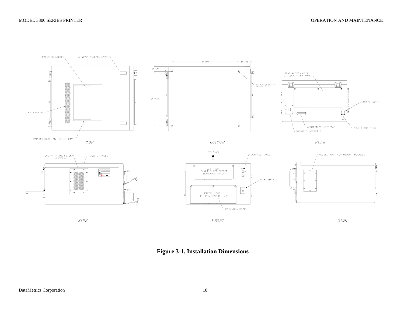

 **Figure 3-1. Installation Dimensions**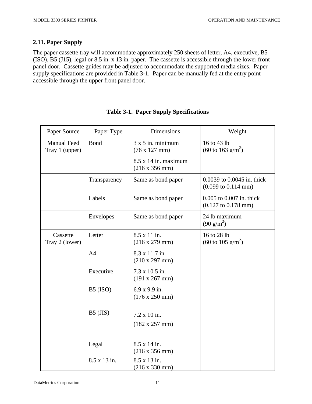#### **2.11. Paper Supply**

The paper cassette tray will accommodate approximately 250 sheets of letter, A4, executive, B5 (ISO), B5 (J15), legal or 8.5 in. x 13 in. paper. The cassette is accessible through the lower front panel door. Cassette guides may be adjusted to accommodate the supported media sizes. Paper supply specifications are provided in Table 3-1. Paper can be manually fed at the entry point accessible through the upper front panel door.

| Paper Source                         | Paper Type     | <b>Dimensions</b>                                            | Weight                                                               |
|--------------------------------------|----------------|--------------------------------------------------------------|----------------------------------------------------------------------|
| <b>Manual Feed</b><br>Tray 1 (upper) | <b>Bond</b>    | $3 \times 5$ in. minimum<br>$(76 \times 127 \text{ mm})$     | 16 to 43 lb<br>$(60 \text{ to } 163 \text{ g/m}^2)$                  |
|                                      |                | $8.5 \times 14$ in. maximum<br>$(216 \times 356 \text{ mm})$ |                                                                      |
|                                      | Transparency   | Same as bond paper                                           | 0.0039 to 0.0045 in. thick<br>$(0.099 \text{ to } 0.114 \text{ mm})$ |
|                                      | Labels         | Same as bond paper                                           | 0.005 to 0.007 in. thick<br>$(0.127 \text{ to } 0.178 \text{ mm})$   |
|                                      | Envelopes      | Same as bond paper                                           | 24 lb maximum<br>$(90 \text{ g/m}^2)$                                |
| Cassette<br>Tray 2 (lower)           | Letter         | 8.5 x 11 in.<br>$(216 \times 279 \text{ mm})$                | 16 to 28 lb<br>$(60 \text{ to } 105 \text{ g/m}^2)$                  |
|                                      | A <sub>4</sub> | 8.3 x 11.7 in.<br>(210 x 297 mm)                             |                                                                      |
|                                      | Executive      | 7.3 x 10.5 in.<br>(191 x 267 mm)                             |                                                                      |
|                                      | $B5$ (ISO)     | $6.9 x 9.9$ in.<br>$(176 \times 250 \text{ mm})$             |                                                                      |
|                                      | $B5$ (JIS)     | 7.2 x 10 in.<br>(182 x 257 mm)                               |                                                                      |
|                                      | Legal          | 8.5 x 14 in.<br>$(216 \times 356 \text{ mm})$                |                                                                      |
|                                      | 8.5 x 13 in.   | 8.5 x 13 in.<br>$(216 \times 330 \text{ mm})$                |                                                                      |

|  |  |  | <b>Table 3-1. Paper Supply Specifications</b> |
|--|--|--|-----------------------------------------------|
|--|--|--|-----------------------------------------------|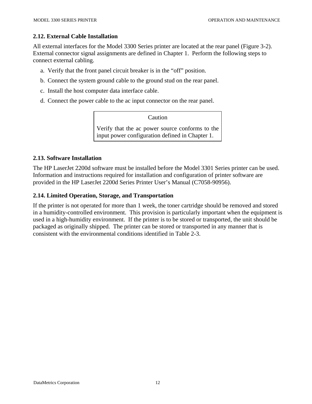#### **2.12. External Cable Installation**

All external interfaces for the Model 3300 Series printer are located at the rear panel (Figure 3-2). External connector signal assignments are defined in Chapter 1. Perform the following steps to connect external cabling.

- a. Verify that the front panel circuit breaker is in the "off" position.
- b. Connect the system ground cable to the ground stud on the rear panel.
- c. Install the host computer data interface cable.
- d. Connect the power cable to the ac input connector on the rear panel.

Caution

Verify that the ac power source conforms to the input power configuration defined in Chapter 1.

#### **2.13. Software Installation**

The HP LaserJet 2200d software must be installed before the Model 3301 Series printer can be used. Information and instructions required for installation and configuration of printer software are provided in the HP LaserJet 2200d Series Printer User's Manual (C7058-90956).

#### **2.14. Limited Operation, Storage, and Transportation**

If the printer is not operated for more than 1 week, the toner cartridge should be removed and stored in a humidity-controlled environment. This provision is particularly important when the equipment is used in a high-humidity environment. If the printer is to be stored or transported, the unit should be packaged as originally shipped. The printer can be stored or transported in any manner that is consistent with the environmental conditions identified in Table 2-3.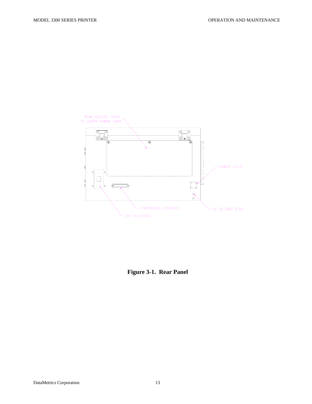

**Figure 3-1. Rear Panel**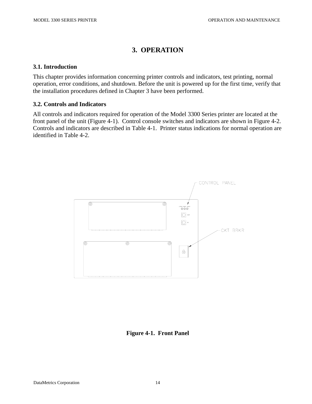# **3. OPERATION**

#### **3.1. Introduction**

This chapter provides information concerning printer controls and indicators, test printing, normal operation, error conditions, and shutdown. Before the unit is powered up for the first time, verify that the installation procedures defined in Chapter 3 have been performed.

#### **3.2. Controls and Indicators**

All controls and indicators required for operation of the Model 3300 Series printer are located at the front panel of the unit (Figure 4-1). Control console switches and indicators are shown in Figure 4-2. Controls and indicators are described in Table 4-1. Printer status indications for normal operation are identified in Table 4-2.



**Figure 4-1. Front Panel**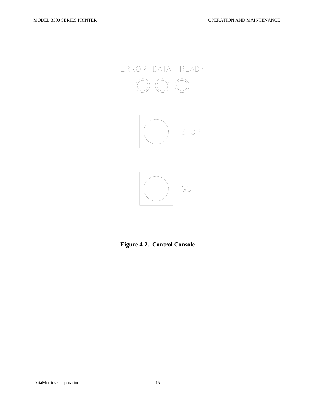

**Figure 4-2. Control Console**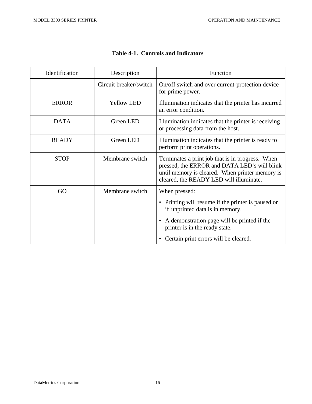| Identification | Description            | Function                                                                                                                                                                                       |
|----------------|------------------------|------------------------------------------------------------------------------------------------------------------------------------------------------------------------------------------------|
|                | Circuit breaker/switch | On/off switch and over current-protection device<br>for prime power.                                                                                                                           |
| <b>ERROR</b>   | <b>Yellow LED</b>      | Illumination indicates that the printer has incurred<br>an error condition.                                                                                                                    |
| <b>DATA</b>    | <b>Green LED</b>       | Illumination indicates that the printer is receiving<br>or processing data from the host.                                                                                                      |
| <b>READY</b>   | Green LED              | Illumination indicates that the printer is ready to<br>perform print operations.                                                                                                               |
| <b>STOP</b>    | Membrane switch        | Terminates a print job that is in progress. When<br>pressed, the ERROR and DATA LED's will blink<br>until memory is cleared. When printer memory is<br>cleared, the READY LED will illuminate. |
| GO             | Membrane switch        | When pressed:                                                                                                                                                                                  |
|                |                        | • Printing will resume if the printer is paused or<br>if unprinted data is in memory.                                                                                                          |
|                |                        | A demonstration page will be printed if the<br>$\bullet$<br>printer is in the ready state.                                                                                                     |
|                |                        | • Certain print errors will be cleared.                                                                                                                                                        |

### **Table 4-1. Controls and Indicators**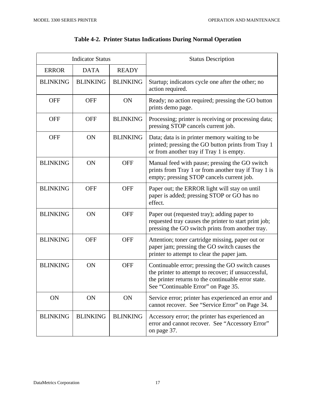| <b>Indicator Status</b> |                 |                 | <b>Status Description</b>                                                                                                                                                                            |
|-------------------------|-----------------|-----------------|------------------------------------------------------------------------------------------------------------------------------------------------------------------------------------------------------|
| <b>ERROR</b>            | <b>DATA</b>     | <b>READY</b>    |                                                                                                                                                                                                      |
| <b>BLINKING</b>         | <b>BLINKING</b> | <b>BLINKING</b> | Startup; indicators cycle one after the other; no<br>action required.                                                                                                                                |
| <b>OFF</b>              | <b>OFF</b>      | ON              | Ready; no action required; pressing the GO button<br>prints demo page.                                                                                                                               |
| <b>OFF</b>              | <b>OFF</b>      | <b>BLINKING</b> | Processing; printer is receiving or processing data;<br>pressing STOP cancels current job.                                                                                                           |
| <b>OFF</b>              | ON              | <b>BLINKING</b> | Data; data is in printer memory waiting to be<br>printed; pressing the GO button prints from Tray 1<br>or from another tray if Tray 1 is empty.                                                      |
| <b>BLINKING</b>         | ON              | <b>OFF</b>      | Manual feed with pause; pressing the GO switch<br>prints from Tray 1 or from another tray if Tray 1 is<br>empty; pressing STOP cancels current job.                                                  |
| <b>BLINKING</b>         | <b>OFF</b>      | <b>OFF</b>      | Paper out; the ERROR light will stay on until<br>paper is added; pressing STOP or GO has no<br>effect.                                                                                               |
| <b>BLINKING</b>         | ON              | <b>OFF</b>      | Paper out (requested tray); adding paper to<br>requested tray causes the printer to start print job;<br>pressing the GO switch prints from another tray.                                             |
| <b>BLINKING</b>         | <b>OFF</b>      | <b>OFF</b>      | Attention; toner cartridge missing, paper out or<br>paper jam; pressing the GO switch causes the<br>printer to attempt to clear the paper jam.                                                       |
| <b>BLINKING</b>         | ON              | <b>OFF</b>      | Continuable error; pressing the GO switch causes<br>the printer to attempt to recover; if unsuccessful,<br>the printer returns to the continuable error state<br>See "Continuable Error" on Page 35. |
| ON                      | ON              | ON              | Service error; printer has experienced an error and<br>cannot recover. See "Service Error" on Page 34.                                                                                               |
| <b>BLINKING</b>         | <b>BLINKING</b> | <b>BLINKING</b> | Accessory error; the printer has experienced an<br>error and cannot recover. See "Accessory Error"<br>on page 37.                                                                                    |

## **Table 4-2. Printer Status Indications During Normal Operation**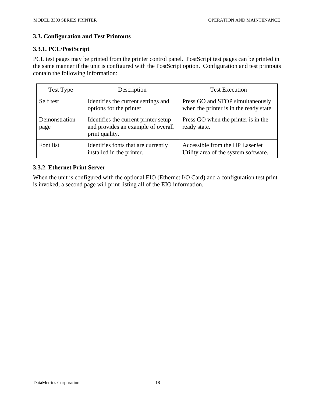### **3.3. Configuration and Test Printouts**

#### **3.3.1. PCL/PostScript**

PCL test pages may be printed from the printer control panel. PostScript test pages can be printed in the same manner if the unit is configured with the PostScript option. Configuration and test printouts contain the following information:

| Test Type             | Description                                                                                  | <b>Test Execution</b>                                                       |
|-----------------------|----------------------------------------------------------------------------------------------|-----------------------------------------------------------------------------|
| Self test             | Identifies the current settings and<br>options for the printer.                              | Press GO and STOP simultaneously<br>when the printer is in the ready state. |
| Demonstration<br>page | Identifies the current printer setup<br>and provides an example of overall<br>print quality. | Press GO when the printer is in the<br>ready state.                         |
| Font list             | Identifies fonts that are currently<br>installed in the printer.                             | Accessible from the HP Laser Jet<br>Utility area of the system software.    |

#### **3.3.2. Ethernet Print Server**

When the unit is configured with the optional EIO (Ethernet I/O Card) and a configuration test print is invoked, a second page will print listing all of the EIO information.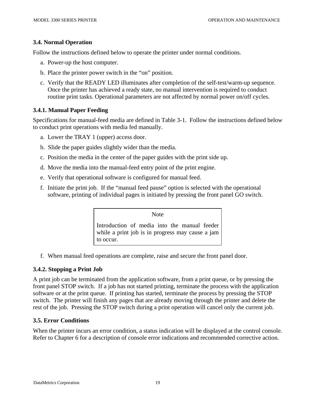#### **3.4. Normal Operation**

Follow the instructions defined below to operate the printer under normal conditions.

- a. Power-up the host computer.
- b. Place the printer power switch in the "on" position.
- c. Verify that the READY LED illuminates after completion of the self-test/warm-up sequence. Once the printer has achieved a ready state, no manual intervention is required to conduct routine print tasks. Operational parameters are not affected by normal power on/off cycles.

#### **3.4.1. Manual Paper Feeding**

Specifications for manual-feed media are defined in Table 3-1. Follow the instructions defined below to conduct print operations with media fed manually.

- a. Lower the TRAY 1 (upper) access door.
- b. Slide the paper guides slightly wider than the media.
- c. Position the media in the center of the paper guides with the print side up.
- d. Move the media into the manual-feed entry point of the print engine.
- e. Verify that operational software is configured for manual feed.
- f. Initiate the print job. If the "manual feed pause" option is selected with the operational software, printing of individual pages is initiated by pressing the front panel GO switch.

Note

Introduction of media into the manual feeder while a print job is in progress may cause a jam to occur.

f. When manual feed operations are complete, raise and secure the front panel door.

#### **3.4.2. Stopping a Print Job**

A print job can be terminated from the application software, from a print queue, or by pressing the front panel STOP switch. If a job has not started printing, terminate the process with the application software or at the print queue. If printing has started, terminate the process by pressing the STOP switch. The printer will finish any pages that are already moving through the printer and delete the rest of the job. Pressing the STOP switch during a print operation will cancel only the current job.

#### **3.5. Error Conditions**

When the printer incurs an error condition, a status indication will be displayed at the control console. Refer to Chapter 6 for a description of console error indications and recommended corrective action.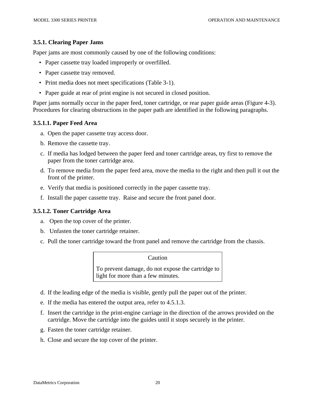#### **3.5.1. Clearing Paper Jams**

Paper jams are most commonly caused by one of the following conditions:

- Paper cassette tray loaded improperly or overfilled.
- Paper cassette tray removed.
- Print media does not meet specifications (Table 3-1).
- Paper guide at rear of print engine is not secured in closed position.

Paper jams normally occur in the paper feed, toner cartridge, or rear paper guide areas (Figure 4-3). Procedures for clearing obstructions in the paper path are identified in the following paragraphs.

#### **3.5.1.1. Paper Feed Area**

- a. Open the paper cassette tray access door.
- b. Remove the cassette tray.
- c. If media has lodged between the paper feed and toner cartridge areas, try first to remove the paper from the toner cartridge area.
- d. To remove media from the paper feed area, move the media to the right and then pull it out the front of the printer.
- e. Verify that media is positioned correctly in the paper cassette tray.
- f. Install the paper cassette tray. Raise and secure the front panel door.

#### **3.5.1.2. Toner Cartridge Area**

- a. Open the top cover of the printer.
- b. Unfasten the toner cartridge retainer.
- c. Pull the toner cartridge toward the front panel and remove the cartridge from the chassis.

#### Caution

To prevent damage, do not expose the cartridge to light for more than a few minutes.

- d. If the leading edge of the media is visible, gently pull the paper out of the printer.
- e. If the media has entered the output area, refer to 4.5.1.3.
- f. Insert the cartridge in the print-engine carriage in the direction of the arrows provided on the cartridge. Move the cartridge into the guides until it stops securely in the printer.
- g. Fasten the toner cartridge retainer.
- h. Close and secure the top cover of the printer.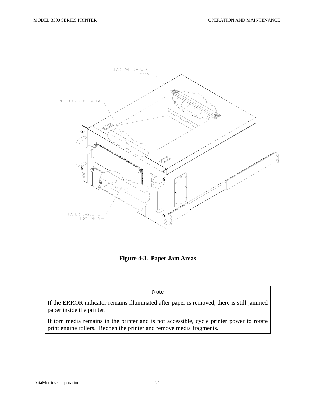

**Figure 4-3. Paper Jam Areas** 

Note

If the ERROR indicator remains illuminated after paper is removed, there is still jammed paper inside the printer.

If torn media remains in the printer and is not accessible, cycle printer power to rotate print engine rollers. Reopen the printer and remove media fragments.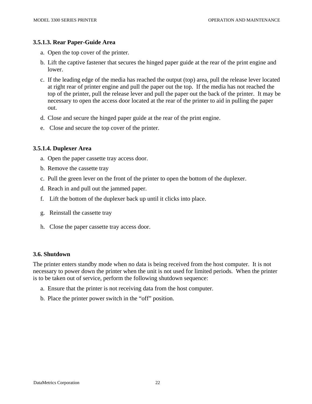#### **3.5.1.3. Rear Paper-Guide Area**

- a. Open the top cover of the printer.
- b. Lift the captive fastener that secures the hinged paper guide at the rear of the print engine and lower.
- c. If the leading edge of the media has reached the output (top) area, pull the release lever located at right rear of printer engine and pull the paper out the top. If the media has not reached the top of the printer, pull the release lever and pull the paper out the back of the printer. It may be necessary to open the access door located at the rear of the printer to aid in pulling the paper out.
- d. Close and secure the hinged paper guide at the rear of the print engine.
- e. Close and secure the top cover of the printer.

#### **3.5.1.4. Duplexer Area**

- a. Open the paper cassette tray access door.
- b. Remove the cassette tray
- c. Pull the green lever on the front of the printer to open the bottom of the duplexer.
- d. Reach in and pull out the jammed paper.
- f. Lift the bottom of the duplexer back up until it clicks into place.
- g. Reinstall the cassette tray
- h. Close the paper cassette tray access door.

#### **3.6. Shutdown**

The printer enters standby mode when no data is being received from the host computer. It is not necessary to power down the printer when the unit is not used for limited periods. When the printer is to be taken out of service, perform the following shutdown sequence:

- a. Ensure that the printer is not receiving data from the host computer.
- b. Place the printer power switch in the "off" position.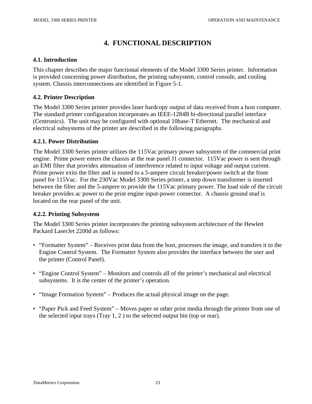# **4. FUNCTIONAL DESCRIPTION**

#### **4.1. Introduction**

This chapter describes the major functional elements of the Model 3300 Series printer. Information is provided concerning power distribution, the printing subsystem, control console, and cooling system. Chassis interconnections are identified in Figure 5-1.

#### **4.2. Printer Description**

The Model 3300 Series printer provides laser hardcopy output of data received from a host computer. The standard printer configuration incorporates an IEEE-1284B bi-directional parallel interface (Centronics). The unit may be configured with optional 10base-T Ethernet. The mechanical and electrical subsystems of the printer are described in the following paragraphs.

#### **4.2.1. Power Distribution**

The Model 3300 Series printer utilizes the 115Vac primary power subsystem of the commercial print engine. Prime power enters the chassis at the rear panel J1 connector. 115Vac power is sent through an EMI filter that provides attenuation of interference related to input voltage and output current. Prime power exits the filter and is routed to a 5-ampere circuit breaker/power switch at the front panel for 115Vac. For the 230Vac Model 3300 Series printer, a step down transformer is inserted between the filter and the 5-ampere to provide the 115Vac primary power. The load side of the circuit breaker provides ac power to the print engine input-power connector. A chassis ground stud is located on the rear panel of the unit.

#### **4.2.2. Printing Subsystem**

The Model 3300 Series printer incorporates the printing subsystem architecture of the Hewlett Packard LaserJet 2200d as follows:

- "Formatter System" Receives print data from the host, processes the image, and transfers it to the Engine Control System. The Formatter System also provides the interface between the user and the printer (Control Panel).
- "Engine Control System" Monitors and controls all of the printer's mechanical and electrical subsystems. It is the center of the printer's operation.
- "Image Formation System" Produces the actual physical image on the page.
- "Paper Pick and Feed System" Moves paper or other print media through the printer from one of the selected input trays (Tray 1, 2 ) to the selected output bin (top or rear).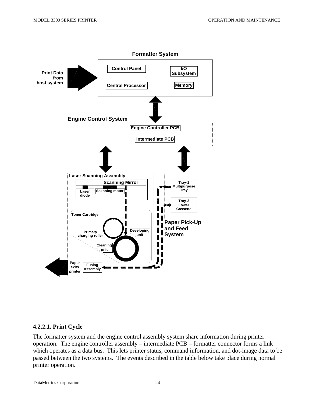

**4.2.2.1. Print Cycle** 

The formatter system and the engine control assembly system share information during printer operation. The engine controller assembly – intermediate PCB – formatter connector forms a link which operates as a data bus. This lets printer status, command information, and dot-image data to be passed between the two systems. The events described in the table below take place during normal printer operation.

DataMetrics Corporation 24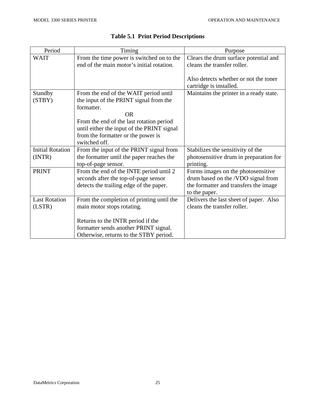| Period                  | Timing                                     | Purpose                                 |
|-------------------------|--------------------------------------------|-----------------------------------------|
| <b>WAIT</b>             | From the time power is switched on to the  | Clears the drum surface potential and   |
|                         | end of the main motor's initial rotation.  | cleans the transfer roller.             |
|                         |                                            |                                         |
|                         |                                            | Also detects whether or not the toner   |
|                         |                                            | cartridge is installed.                 |
| Standby                 | From the end of the WAIT period until      | Maintains the printer in a ready state. |
| (STBY)                  | the input of the PRINT signal from the     |                                         |
|                         | formatter.                                 |                                         |
|                         | <b>OR</b>                                  |                                         |
|                         | From the end of the last rotation period   |                                         |
|                         | until either the input of the PRINT signal |                                         |
|                         | from the formatter or the power is         |                                         |
|                         | switched off.                              |                                         |
| <b>Initial Rotation</b> | From the input of the PRINT signal from    | Stabilizes the sensitivity of the       |
| (INTER)                 | the formatter until the paper reaches the  | photosensitive drum in preparation for  |
|                         | top-of-page sensor.                        | printing.                               |
| <b>PRINT</b>            | From the end of the INTE period until 2    | Forms images on the photosensitive      |
|                         | seconds after the top-of-page sensor       | drum based on the /VDO signal from      |
|                         | detects the trailing edge of the paper.    | the formatter and transfers the image   |
|                         |                                            | to the paper.                           |
| <b>Last Rotation</b>    | From the completion of printing until the  | Delivers the last sheet of paper. Also  |
| (LSTR)                  | main motor stops rotating.                 | cleans the transfer roller.             |
|                         |                                            |                                         |
|                         | Returns to the INTR period if the          |                                         |
|                         | formatter sends another PRINT signal.      |                                         |
|                         | Otherwise, returns to the STBY period.     |                                         |

### **Table 5.1 Print Period Descriptions**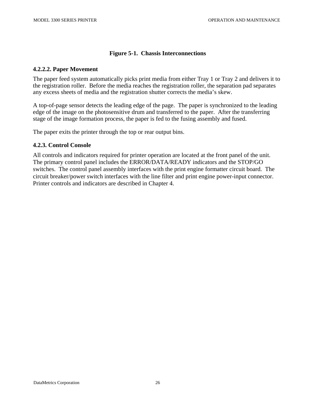#### **Figure 5-1. Chassis Interconnections**

#### **4.2.2.2. Paper Movement**

The paper feed system automatically picks print media from either Tray 1 or Tray 2 and delivers it to the registration roller. Before the media reaches the registration roller, the separation pad separates any excess sheets of media and the registration shutter corrects the media's skew.

A top-of-page sensor detects the leading edge of the page. The paper is synchronized to the leading edge of the image on the photosensitive drum and transferred to the paper. After the transferring stage of the image formation process, the paper is fed to the fusing assembly and fused.

The paper exits the printer through the top or rear output bins.

#### **4.2.3. Control Console**

All controls and indicators required for printer operation are located at the front panel of the unit. The primary control panel includes the ERROR/DATA/READY indicators and the STOP/GO switches. The control panel assembly interfaces with the print engine formatter circuit board. The circuit breaker/power switch interfaces with the line filter and print engine power-input connector. Printer controls and indicators are described in Chapter 4.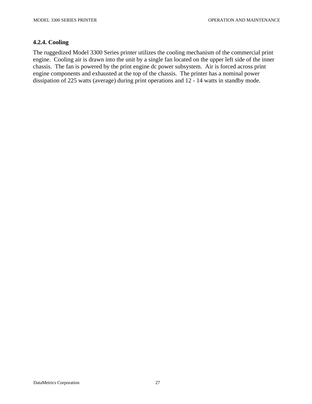#### **4.2.4. Cooling**

The ruggedized Model 3300 Series printer utilizes the cooling mechanism of the commercial print engine. Cooling air is drawn into the unit by a single fan located on the upper left side of the inner chassis. The fan is powered by the print engine dc power subsystem. Air is forced across print engine components and exhausted at the top of the chassis. The printer has a nominal power dissipation of 225 watts (average) during print operations and 12 - 14 watts in standby mode.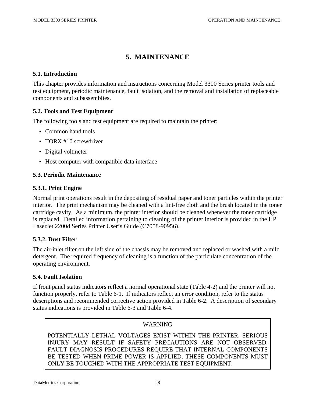# **5. MAINTENANCE**

#### **5.1. Introduction**

This chapter provides information and instructions concerning Model 3300 Series printer tools and test equipment, periodic maintenance, fault isolation, and the removal and installation of replaceable components and subassemblies.

#### **5.2. Tools and Test Equipment**

The following tools and test equipment are required to maintain the printer:

- Common hand tools
- TORX #10 screwdriver
- Digital voltmeter
- Host computer with compatible data interface

#### **5.3. Periodic Maintenance**

#### **5.3.1. Print Engine**

Normal print operations result in the depositing of residual paper and toner particles within the printer interior. The print mechanism may be cleaned with a lint-free cloth and the brush located in the toner cartridge cavity. As a minimum, the printer interior should be cleaned whenever the toner cartridge is replaced. Detailed information pertaining to cleaning of the printer interior is provided in the HP LaserJet 2200d Series Printer User's Guide (C7058-90956).

#### **5.3.2. Dust Filter**

The air-inlet filter on the left side of the chassis may be removed and replaced or washed with a mild detergent. The required frequency of cleaning is a function of the particulate concentration of the operating environment.

#### **5.4. Fault Isolation**

If front panel status indicators reflect a normal operational state (Table 4-2) and the printer will not function properly, refer to Table 6-1. If indicators reflect an error condition, refer to the status descriptions and recommended corrective action provided in Table 6-2. A description of secondary status indications is provided in Table 6-3 and Table 6-4.

#### WARNING

POTENTIALLY LETHAL VOLTAGES EXIST WITHIN THE PRINTER. SERIOUS INJURY MAY RESULT IF SAFETY PRECAUTIONS ARE NOT OBSERVED. FAULT DIAGNOSIS PROCEDURES REQUIRE THAT INTERNAL COMPONENTS BE TESTED WHEN PRIME POWER IS APPLIED. THESE COMPONENTS MUST ONLY BE TOUCHED WITH THE APPROPRIATE TEST EQUIPMENT.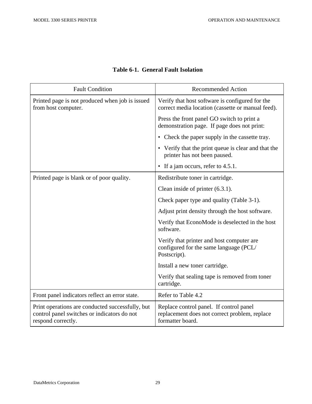| <b>Fault Condition</b>                                                                                                | <b>Recommended Action</b>                                                                                    |
|-----------------------------------------------------------------------------------------------------------------------|--------------------------------------------------------------------------------------------------------------|
| Printed page is not produced when job is issued<br>from host computer.                                                | Verify that host software is configured for the<br>correct media location (cassette or manual feed).         |
|                                                                                                                       | Press the front panel GO switch to print a<br>demonstration page. If page does not print:                    |
|                                                                                                                       | • Check the paper supply in the cassette tray.                                                               |
|                                                                                                                       | • Verify that the print queue is clear and that the<br>printer has not been paused.                          |
|                                                                                                                       | • If a jam occurs, refer to 4.5.1.                                                                           |
| Printed page is blank or of poor quality.                                                                             | Redistribute toner in cartridge.                                                                             |
|                                                                                                                       | Clean inside of printer $(6.3.1)$ .                                                                          |
|                                                                                                                       | Check paper type and quality (Table 3-1).                                                                    |
|                                                                                                                       | Adjust print density through the host software.                                                              |
|                                                                                                                       | Verify that EconoMode is deselected in the host<br>software.                                                 |
|                                                                                                                       | Verify that printer and host computer are<br>configured for the same language (PCL/<br>Postscript).          |
|                                                                                                                       | Install a new toner cartridge.                                                                               |
|                                                                                                                       | Verify that sealing tape is removed from toner<br>cartridge.                                                 |
| Front panel indicators reflect an error state.                                                                        | Refer to Table 4.2                                                                                           |
| Print operations are conducted successfully, but<br>control panel switches or indicators do not<br>respond correctly. | Replace control panel. If control panel<br>replacement does not correct problem, replace<br>formatter board. |

### **Table 6-1. General Fault Isolation**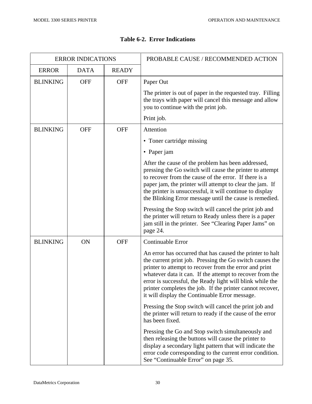$\Gamma$ 

| <b>ERROR INDICATIONS</b> |             |              | PROBABLE CAUSE / RECOMMENDED ACTION                                                                                                                                                                                                                                                                                                                                                                                     |
|--------------------------|-------------|--------------|-------------------------------------------------------------------------------------------------------------------------------------------------------------------------------------------------------------------------------------------------------------------------------------------------------------------------------------------------------------------------------------------------------------------------|
| <b>ERROR</b>             | <b>DATA</b> | <b>READY</b> |                                                                                                                                                                                                                                                                                                                                                                                                                         |
| <b>BLINKING</b>          | <b>OFF</b>  | <b>OFF</b>   | Paper Out                                                                                                                                                                                                                                                                                                                                                                                                               |
|                          |             |              | The printer is out of paper in the requested tray. Filling<br>the trays with paper will cancel this message and allow<br>you to continue with the print job.                                                                                                                                                                                                                                                            |
|                          |             |              | Print job.                                                                                                                                                                                                                                                                                                                                                                                                              |
| <b>BLINKING</b>          | <b>OFF</b>  | <b>OFF</b>   | Attention                                                                                                                                                                                                                                                                                                                                                                                                               |
|                          |             |              | • Toner cartridge missing                                                                                                                                                                                                                                                                                                                                                                                               |
|                          |             |              | • Paper jam                                                                                                                                                                                                                                                                                                                                                                                                             |
|                          |             |              | After the cause of the problem has been addressed,<br>pressing the Go switch will cause the printer to attempt<br>to recover from the cause of the error. If there is a<br>paper jam, the printer will attempt to clear the jam. If<br>the printer is unsuccessful, it will continue to display<br>the Blinking Error message until the cause is remedied.                                                              |
|                          |             |              | Pressing the Stop switch will cancel the print job and<br>the printer will return to Ready unless there is a paper<br>jam still in the printer. See "Clearing Paper Jams" on<br>page 24.                                                                                                                                                                                                                                |
| <b>BLINKING</b>          | ON          | <b>OFF</b>   | Continuable Error                                                                                                                                                                                                                                                                                                                                                                                                       |
|                          |             |              | An error has occurred that has caused the printer to halt<br>the current print job. Pressing the Go switch causes the<br>printer to attempt to recover from the error and print<br>whatever data it can. If the attempt to recover from the<br>error is successful, the Ready light will blink while the<br>printer completes the job. If the printer cannot recover,<br>it will display the Continuable Error message. |
|                          |             |              | Pressing the Stop switch will cancel the print job and<br>the printer will return to ready if the cause of the error<br>has been fixed.                                                                                                                                                                                                                                                                                 |
|                          |             |              | Pressing the Go and Stop switch simultaneously and<br>then releasing the buttons will cause the printer to<br>display a secondary light pattern that will indicate the<br>error code corresponding to the current error condition.<br>See "Continuable Error" on page 35.                                                                                                                                               |

#### **Table 6-2. Error Indications**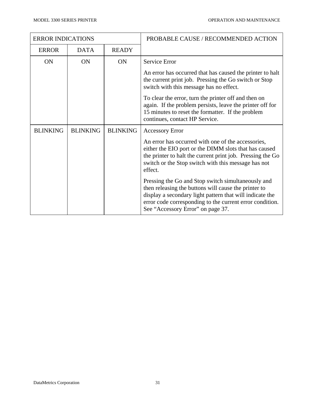| <b>ERROR INDICATIONS</b> |                 |                 | PROBABLE CAUSE / RECOMMENDED ACTION                                                                                                                                                                                                                                     |
|--------------------------|-----------------|-----------------|-------------------------------------------------------------------------------------------------------------------------------------------------------------------------------------------------------------------------------------------------------------------------|
| <b>ERROR</b>             | <b>DATA</b>     | <b>READY</b>    |                                                                                                                                                                                                                                                                         |
| <b>ON</b>                | ON              | <b>ON</b>       | Service Error                                                                                                                                                                                                                                                           |
|                          |                 |                 | An error has occurred that has caused the printer to halt<br>the current print job. Pressing the Go switch or Stop<br>switch with this message has no effect.                                                                                                           |
|                          |                 |                 | To clear the error, turn the printer off and then on<br>again. If the problem persists, leave the printer off for<br>15 minutes to reset the formatter. If the problem<br>continues, contact HP Service.                                                                |
| <b>BLINKING</b>          | <b>BLINKING</b> | <b>BLINKING</b> | <b>Accessory Error</b>                                                                                                                                                                                                                                                  |
|                          |                 |                 | An error has occurred with one of the accessories,<br>either the EIO port or the DIMM slots that has caused<br>the printer to halt the current print job. Pressing the Go<br>switch or the Stop switch with this message has not<br>effect.                             |
|                          |                 |                 | Pressing the Go and Stop switch simultaneously and<br>then releasing the buttons will cause the printer to<br>display a secondary light pattern that will indicate the<br>error code corresponding to the current error condition.<br>See "Accessory Error" on page 37. |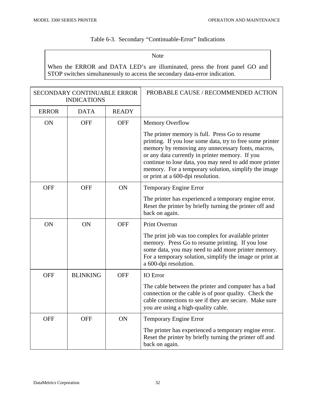#### Table 6-3. Secondary "Continuable-Error" Indications

Note

When the ERROR and DATA LED's are illuminated, press the front panel GO and STOP switches simultaneously to access the secondary data-error indication.

| <b>SECONDARY CONTINUABLE ERROR</b><br><b>INDICATIONS</b> |                 |              | PROBABLE CAUSE / RECOMMENDED ACTION                                                                                                                                                                                                                                                                                                                                         |
|----------------------------------------------------------|-----------------|--------------|-----------------------------------------------------------------------------------------------------------------------------------------------------------------------------------------------------------------------------------------------------------------------------------------------------------------------------------------------------------------------------|
| <b>ERROR</b>                                             | <b>DATA</b>     | <b>READY</b> |                                                                                                                                                                                                                                                                                                                                                                             |
| <b>ON</b>                                                | <b>OFF</b>      | <b>OFF</b>   | <b>Memory Overflow</b>                                                                                                                                                                                                                                                                                                                                                      |
|                                                          |                 |              | The printer memory is full. Press Go to resume<br>printing. If you lose some data, try to free some printer<br>memory by removing any unnecessary fonts, macros,<br>or any data currently in printer memory. If you<br>continue to lose data, you may need to add more printer<br>memory. For a temporary solution, simplify the image<br>or print at a 600-dpi resolution. |
| <b>OFF</b>                                               | <b>OFF</b>      | ON           | Temporary Engine Error                                                                                                                                                                                                                                                                                                                                                      |
|                                                          |                 |              | The printer has experienced a temporary engine error.<br>Reset the printer by briefly turning the printer off and<br>back on again.                                                                                                                                                                                                                                         |
| ON                                                       | ON              | <b>OFF</b>   | Print Overrun                                                                                                                                                                                                                                                                                                                                                               |
|                                                          |                 |              | The print job was too complex for available printer<br>memory. Press Go to resume printing. If you lose<br>some data, you may need to add more printer memory.<br>For a temporary solution, simplify the image or print at<br>a 600-dpi resolution.                                                                                                                         |
| <b>OFF</b>                                               | <b>BLINKING</b> | <b>OFF</b>   | <b>IO</b> Error                                                                                                                                                                                                                                                                                                                                                             |
|                                                          |                 |              | The cable between the printer and computer has a bad<br>connection or the cable is of poor quality. Check the<br>cable connections to see if they are secure. Make sure<br>you are using a high-quality cable.                                                                                                                                                              |
| <b>OFF</b>                                               | <b>OFF</b>      | ON           | Temporary Engine Error                                                                                                                                                                                                                                                                                                                                                      |
|                                                          |                 |              | The printer has experienced a temporary engine error.<br>Reset the printer by briefly turning the printer off and<br>back on again.                                                                                                                                                                                                                                         |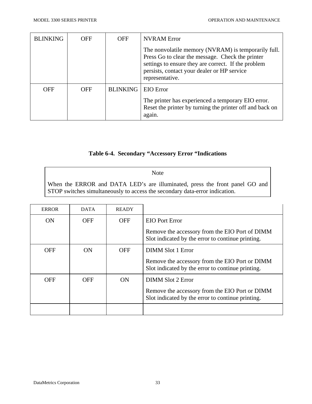| <b>BLINKING</b> | <b>OFF</b> | <b>OFF</b>      | <b>NVRAM Error</b>                                                                                                                                                                                                               |
|-----------------|------------|-----------------|----------------------------------------------------------------------------------------------------------------------------------------------------------------------------------------------------------------------------------|
|                 |            |                 | The nonvolatile memory (NVRAM) is temporarily full.<br>Press Go to clear the message. Check the printer<br>settings to ensure they are correct. If the problem<br>persists, contact your dealer or HP service<br>representative. |
| <b>OFF</b>      | <b>OFF</b> | <b>BLINKING</b> | <b>EIO</b> Error                                                                                                                                                                                                                 |
|                 |            |                 | The printer has experienced a temporary EIO error.<br>Reset the printer by turning the printer off and back on<br>again.                                                                                                         |

### **Table 6-4. Secondary "Accessory Error "Indications**

Note

When the ERROR and DATA LED's are illuminated, press the front panel GO and STOP switches simultaneously to access the secondary data-error indication.

| <b>ERROR</b> | <b>DATA</b> | <b>READY</b> |                                                                                                     |
|--------------|-------------|--------------|-----------------------------------------------------------------------------------------------------|
| <b>ON</b>    | <b>OFF</b>  | <b>OFF</b>   | <b>EIO</b> Port Error                                                                               |
|              |             |              | Remove the accessory from the EIO Port of DIMM<br>Slot indicated by the error to continue printing. |
| <b>OFF</b>   | ON          | <b>OFF</b>   | DIMM Slot 1 Error                                                                                   |
|              |             |              | Remove the accessory from the EIO Port or DIMM<br>Slot indicated by the error to continue printing. |
| OFF          | OFF         | ON           | DIMM Slot 2 Error                                                                                   |
|              |             |              | Remove the accessory from the EIO Port or DIMM<br>Slot indicated by the error to continue printing. |
|              |             |              |                                                                                                     |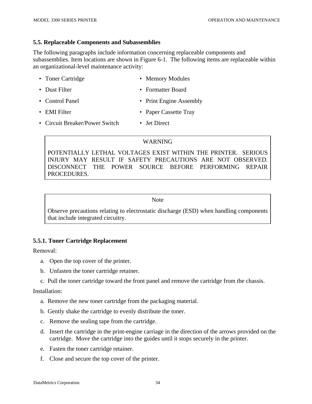#### **5.5. Replaceable Components and Subassemblies**

The following paragraphs include information concerning replaceable components and subassemblies. Item locations are shown in Figure 6-1. The following items are replaceable within an organizational-level maintenance activity:

- Toner Cartridge Memory Modules
- Dust Filter Formatter Board
- Control Panel Print Engine Assembly
- EMI Filter Paper Cassette Tray
- Circuit Breaker/Power Switch Jet Direct

#### WARNING

POTENTIALLY LETHAL VOLTAGES EXIST WITHIN THE PRINTER. SERIOUS INJURY MAY RESULT IF SAFETY PRECAUTIONS ARE NOT OBSERVED. DISCONNECT THE POWER SOURCE BEFORE PERFORMING REPAIR PROCEDURES.

#### Note

Observe precautions relating to electrostatic discharge (ESD) when handling components that include integrated circuitry.

#### **5.5.1. Toner Cartridge Replacement**

Removal:

- a. Open the top cover of the printer.
- b. Unfasten the toner cartridge retainer.
- c. Pull the toner cartridge toward the front panel and remove the cartridge from the chassis.

- a. Remove the new toner cartridge from the packaging material.
- b. Gently shake the cartridge to evenly distribute the toner.
- c. Remove the sealing tape from the cartridge.
- d. Insert the cartridge in the print-engine carriage in the direction of the arrows provided on the cartridge. Move the cartridge into the guides until it stops securely in the printer.
- e. Fasten the toner cartridge retainer.
- f. Close and secure the top cover of the printer.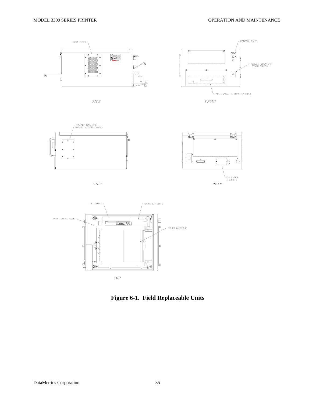



**Figure 6-1. Field Replaceable Units**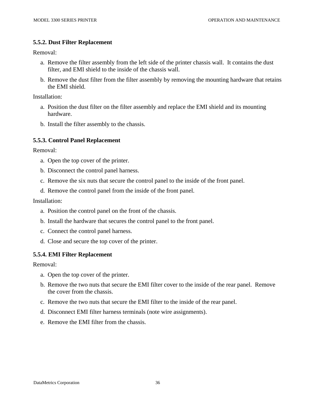#### **5.5.2. Dust Filter Replacement**

Removal:

- a. Remove the filter assembly from the left side of the printer chassis wall. It contains the dust filter, and EMI shield to the inside of the chassis wall.
- b. Remove the dust filter from the filter assembly by removing the mounting hardware that retains the EMI shield.

Installation:

- a. Position the dust filter on the filter assembly and replace the EMI shield and its mounting hardware.
- b. Install the filter assembly to the chassis.

#### **5.5.3. Control Panel Replacement**

Removal:

- a. Open the top cover of the printer.
- b. Disconnect the control panel harness.
- c. Remove the six nuts that secure the control panel to the inside of the front panel.
- d. Remove the control panel from the inside of the front panel.

Installation:

- a. Position the control panel on the front of the chassis.
- b. Install the hardware that secures the control panel to the front panel.
- c. Connect the control panel harness.
- d. Close and secure the top cover of the printer.

#### **5.5.4. EMI Filter Replacement**

Removal:

- a. Open the top cover of the printer.
- b. Remove the two nuts that secure the EMI filter cover to the inside of the rear panel. Remove the cover from the chassis.
- c. Remove the two nuts that secure the EMI filter to the inside of the rear panel.
- d. Disconnect EMI filter harness terminals (note wire assignments).
- e. Remove the EMI filter from the chassis.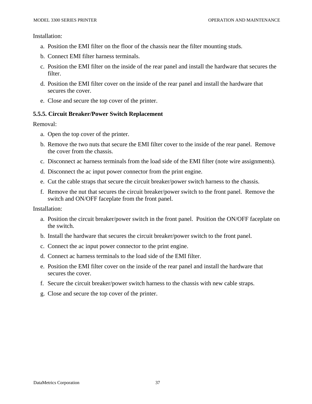Installation:

- a. Position the EMI filter on the floor of the chassis near the filter mounting studs.
- b. Connect EMI filter harness terminals.
- c. Position the EMI filter on the inside of the rear panel and install the hardware that secures the filter.
- d. Position the EMI filter cover on the inside of the rear panel and install the hardware that secures the cover.
- e. Close and secure the top cover of the printer.

#### **5.5.5. Circuit Breaker/Power Switch Replacement**

Removal:

- a. Open the top cover of the printer.
- b. Remove the two nuts that secure the EMI filter cover to the inside of the rear panel. Remove the cover from the chassis.
- c. Disconnect ac harness terminals from the load side of the EMI filter (note wire assignments).
- d. Disconnect the ac input power connector from the print engine.
- e. Cut the cable straps that secure the circuit breaker/power switch harness to the chassis.
- f. Remove the nut that secures the circuit breaker/power switch to the front panel. Remove the switch and ON/OFF faceplate from the front panel.

- a. Position the circuit breaker/power switch in the front panel. Position the ON/OFF faceplate on the switch.
- b. Install the hardware that secures the circuit breaker/power switch to the front panel.
- c. Connect the ac input power connector to the print engine.
- d. Connect ac harness terminals to the load side of the EMI filter.
- e. Position the EMI filter cover on the inside of the rear panel and install the hardware that secures the cover.
- f. Secure the circuit breaker/power switch harness to the chassis with new cable straps.
- g. Close and secure the top cover of the printer.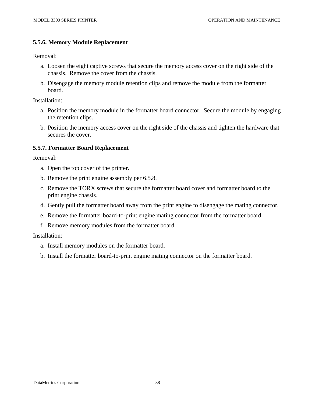#### **5.5.6. Memory Module Replacement**

Removal:

- a. Loosen the eight captive screws that secure the memory access cover on the right side of the chassis. Remove the cover from the chassis.
- b. Disengage the memory module retention clips and remove the module from the formatter board.

Installation:

- a. Position the memory module in the formatter board connector. Secure the module by engaging the retention clips.
- b. Position the memory access cover on the right side of the chassis and tighten the hardware that secures the cover.

#### **5.5.7. Formatter Board Replacement**

Removal:

- a. Open the top cover of the printer.
- b. Remove the print engine assembly per 6.5.8.
- c. Remove the TORX screws that secure the formatter board cover and formatter board to the print engine chassis.
- d. Gently pull the formatter board away from the print engine to disengage the mating connector.
- e. Remove the formatter board-to-print engine mating connector from the formatter board.
- f. Remove memory modules from the formatter board.

- a. Install memory modules on the formatter board.
- b. Install the formatter board-to-print engine mating connector on the formatter board.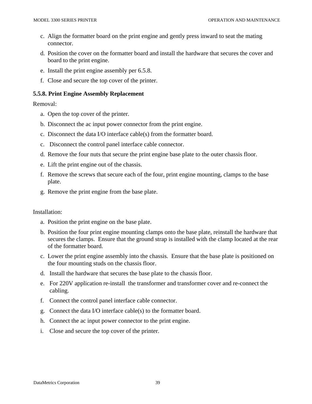- c. Align the formatter board on the print engine and gently press inward to seat the mating connector.
- d. Position the cover on the formatter board and install the hardware that secures the cover and board to the print engine.
- e. Install the print engine assembly per 6.5.8.
- f. Close and secure the top cover of the printer.

#### **5.5.8. Print Engine Assembly Replacement**

Removal:

- a. Open the top cover of the printer.
- b. Disconnect the ac input power connector from the print engine.
- c. Disconnect the data I/O interface cable(s) from the formatter board.
- c. Disconnect the control panel interface cable connector.
- d. Remove the four nuts that secure the print engine base plate to the outer chassis floor.
- e. Lift the print engine out of the chassis.
- f. Remove the screws that secure each of the four, print engine mounting, clamps to the base plate.
- g. Remove the print engine from the base plate.

- a. Position the print engine on the base plate.
- b. Position the four print engine mounting clamps onto the base plate, reinstall the hardware that secures the clamps. Ensure that the ground strap is installed with the clamp located at the rear of the formatter board.
- c. Lower the print engine assembly into the chassis. Ensure that the base plate is positioned on the four mounting studs on the chassis floor.
- d. Install the hardware that secures the base plate to the chassis floor.
- e. For 220V application re-install the transformer and transformer cover and re-connect the cabling.
- f. Connect the control panel interface cable connector.
- g. Connect the data I/O interface cable(s) to the formatter board.
- h. Connect the ac input power connector to the print engine.
- i. Close and secure the top cover of the printer.